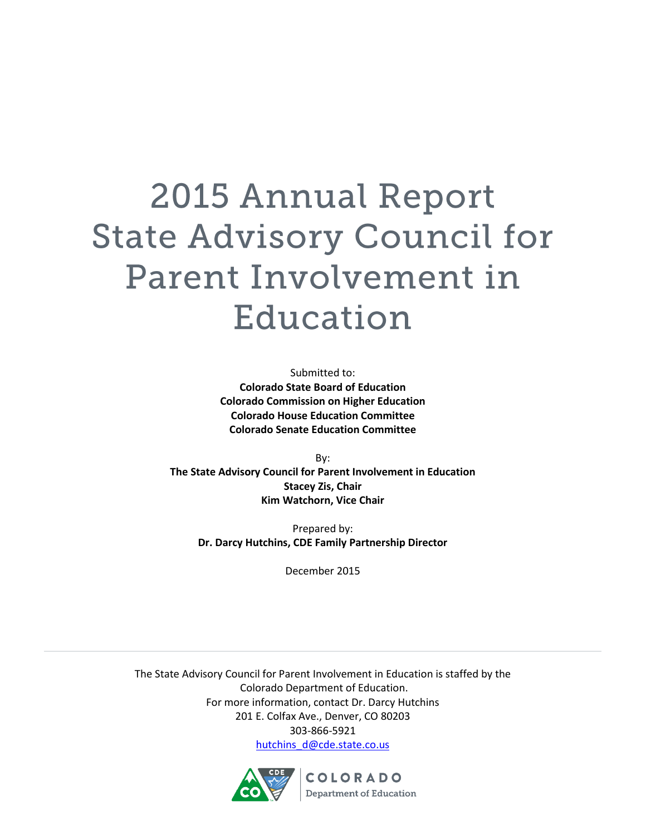# **2015 Annual Report State Advisory Council for** Parent Involvement in Education

Submitted to: **Colorado State Board of Education Colorado Commission on Higher Education Colorado House Education Committee Colorado Senate Education Committee**

By: **The State Advisory Council for Parent Involvement in Education Stacey Zis, Chair Kim Watchorn, Vice Chair**

Prepared by: **Dr. Darcy Hutchins, CDE Family Partnership Director**

December 2015

The State Advisory Council for Parent Involvement in Education is staffed by the Colorado Department of Education. For more information, contact Dr. Darcy Hutchins 201 E. Colfax Ave., Denver, CO 80203 303-866-5921 [hutchins\\_d@cde.state.co.us](mailto:hutchins_d@cde.state.co.us)

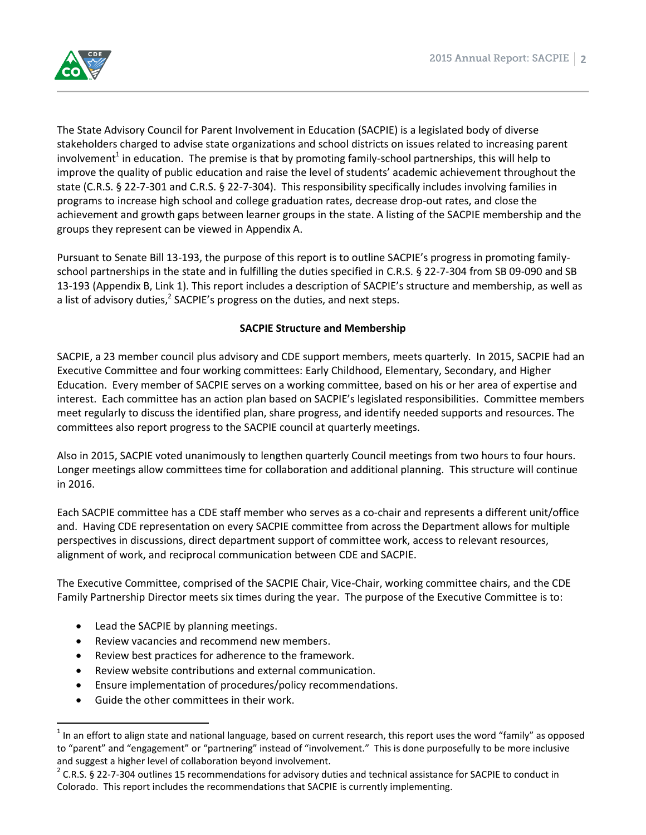

The State Advisory Council for Parent Involvement in Education (SACPIE) is a legislated body of diverse stakeholders charged to advise state organizations and school districts on issues related to increasing parent involvement<sup>1</sup> in education. The premise is that by promoting family-school partnerships, this will help to improve the quality of public education and raise the level of students' academic achievement throughout the state (C.R.S. § 22-7-301 and C.R.S. § 22-7-304). This responsibility specifically includes involving families in programs to increase high school and college graduation rates, decrease drop-out rates, and close the achievement and growth gaps between learner groups in the state. A listing of the SACPIE membership and the groups they represent can be viewed in Appendix A.

Pursuant to Senate Bill 13-193, the purpose of this report is to outline SACPIE's progress in promoting familyschool partnerships in the state and in fulfilling the duties specified in C.R.S. § 22-7-304 from SB 09-090 and SB 13-193 (Appendix B, Link 1). This report includes a description of SACPIE's structure and membership, as well as a list of advisory duties,<sup>2</sup> SACPIE's progress on the duties, and next steps.

# **SACPIE Structure and Membership**

SACPIE, a 23 member council plus advisory and CDE support members, meets quarterly. In 2015, SACPIE had an Executive Committee and four working committees: Early Childhood, Elementary, Secondary, and Higher Education. Every member of SACPIE serves on a working committee, based on his or her area of expertise and interest. Each committee has an action plan based on SACPIE's legislated responsibilities. Committee members meet regularly to discuss the identified plan, share progress, and identify needed supports and resources. The committees also report progress to the SACPIE council at quarterly meetings.

Also in 2015, SACPIE voted unanimously to lengthen quarterly Council meetings from two hours to four hours. Longer meetings allow committees time for collaboration and additional planning. This structure will continue in 2016.

Each SACPIE committee has a CDE staff member who serves as a co-chair and represents a different unit/office and. Having CDE representation on every SACPIE committee from across the Department allows for multiple perspectives in discussions, direct department support of committee work, access to relevant resources, alignment of work, and reciprocal communication between CDE and SACPIE.

The Executive Committee, comprised of the SACPIE Chair, Vice-Chair, working committee chairs, and the CDE Family Partnership Director meets six times during the year. The purpose of the Executive Committee is to:

- Lead the SACPIE by planning meetings.
- Review vacancies and recommend new members.
- Review best practices for adherence to the framework.
- Review website contributions and external communication.
- Ensure implementation of procedures/policy recommendations.
- Guide the other committees in their work.

 $\overline{\phantom{a}}$ 

 $1$  In an effort to align state and national language, based on current research, this report uses the word "family" as opposed to "parent" and "engagement" or "partnering" instead of "involvement." This is done purposefully to be more inclusive and suggest a higher level of collaboration beyond involvement.

 $2$  C.R.S. § 22-7-304 outlines 15 recommendations for advisory duties and technical assistance for SACPIE to conduct in Colorado. This report includes the recommendations that SACPIE is currently implementing.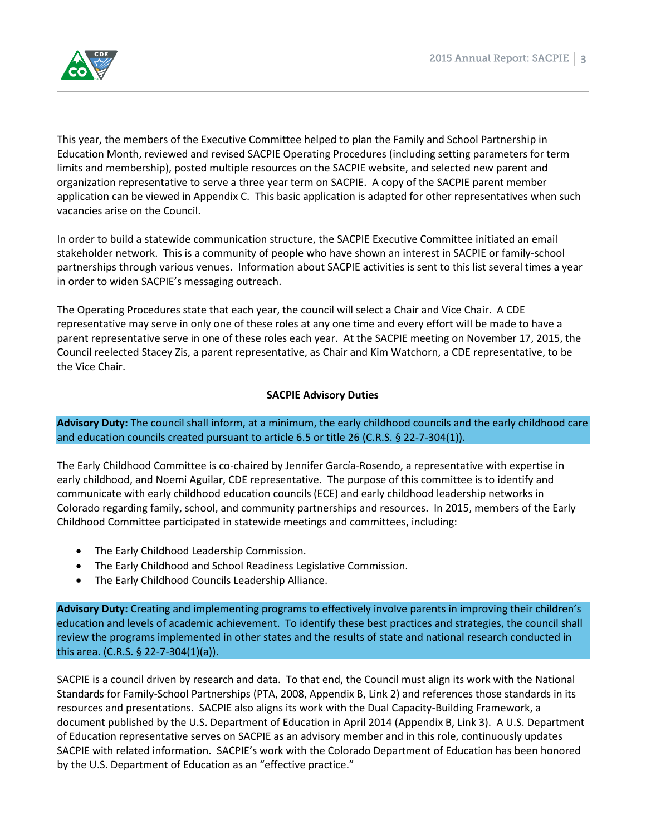

This year, the members of the Executive Committee helped to plan the Family and School Partnership in Education Month, reviewed and revised SACPIE Operating Procedures (including setting parameters for term limits and membership), posted multiple resources on the SACPIE website, and selected new parent and organization representative to serve a three year term on SACPIE. A copy of the SACPIE parent member application can be viewed in Appendix C. This basic application is adapted for other representatives when such vacancies arise on the Council.

In order to build a statewide communication structure, the SACPIE Executive Committee initiated an email stakeholder network. This is a community of people who have shown an interest in SACPIE or family-school partnerships through various venues. Information about SACPIE activities is sent to this list several times a year in order to widen SACPIE's messaging outreach.

The Operating Procedures state that each year, the council will select a Chair and Vice Chair. A CDE representative may serve in only one of these roles at any one time and every effort will be made to have a parent representative serve in one of these roles each year. At the SACPIE meeting on November 17, 2015, the Council reelected Stacey Zis, a parent representative, as Chair and Kim Watchorn, a CDE representative, to be the Vice Chair.

#### **SACPIE Advisory Duties**

**Advisory Duty:** The council shall inform, at a minimum, the early childhood councils and the early childhood care and education councils created pursuant to article 6.5 or title 26 (C.R.S. § 22-7-304(1)).

The Early Childhood Committee is co-chaired by Jennifer García-Rosendo, a representative with expertise in early childhood, and Noemi Aguilar, CDE representative. The purpose of this committee is to identify and communicate with early childhood education councils (ECE) and early childhood leadership networks in Colorado regarding family, school, and community partnerships and resources. In 2015, members of the Early Childhood Committee participated in statewide meetings and committees, including:

- The Early Childhood Leadership Commission.
- The Early Childhood and School Readiness Legislative Commission.
- The Early Childhood Councils Leadership Alliance.

**Advisory Duty:** Creating and implementing programs to effectively involve parents in improving their children's education and levels of academic achievement. To identify these best practices and strategies, the council shall review the programs implemented in other states and the results of state and national research conducted in this area. (C.R.S. § 22-7-304(1)(a)).

SACPIE is a council driven by research and data. To that end, the Council must align its work with the National Standards for Family-School Partnerships (PTA, 2008, Appendix B, Link 2) and references those standards in its resources and presentations. SACPIE also aligns its work with the Dual Capacity-Building Framework, a document published by the U.S. Department of Education in April 2014 (Appendix B, Link 3). A U.S. Department of Education representative serves on SACPIE as an advisory member and in this role, continuously updates SACPIE with related information. SACPIE's work with the Colorado Department of Education has been honored by the U.S. Department of Education as an "effective practice."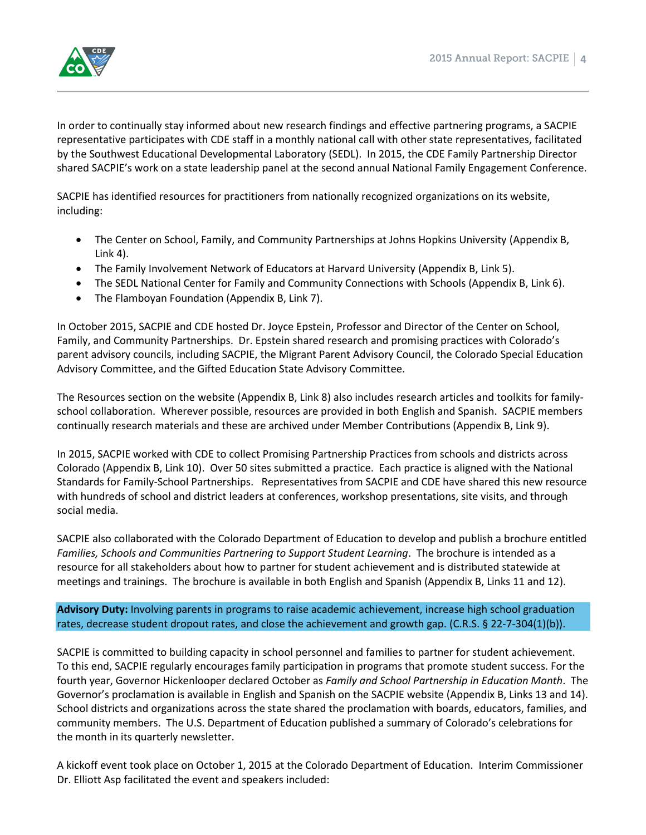

In order to continually stay informed about new research findings and effective partnering programs, a SACPIE representative participates with CDE staff in a monthly national call with other state representatives, facilitated by the Southwest Educational Developmental Laboratory (SEDL). In 2015, the CDE Family Partnership Director shared SACPIE's work on a state leadership panel at the second annual National Family Engagement Conference.

SACPIE has identified resources for practitioners from nationally recognized organizations on its website, including:

- The Center on School, Family, and Community Partnerships at Johns Hopkins University (Appendix B, Link 4).
- The Family Involvement Network of Educators at Harvard University (Appendix B, Link 5).
- The SEDL National Center for Family and Community Connections with Schools (Appendix B, Link 6).
- The Flamboyan Foundation (Appendix B, Link 7).

In October 2015, SACPIE and CDE hosted Dr. Joyce Epstein, Professor and Director of the Center on School, Family, and Community Partnerships. Dr. Epstein shared research and promising practices with Colorado's parent advisory councils, including SACPIE, the Migrant Parent Advisory Council, the Colorado Special Education Advisory Committee, and the Gifted Education State Advisory Committee.

The Resources section on the website (Appendix B, Link 8) also includes research articles and toolkits for familyschool collaboration. Wherever possible, resources are provided in both English and Spanish. SACPIE members continually research materials and these are archived under Member Contributions (Appendix B, Link 9).

In 2015, SACPIE worked with CDE to collect Promising Partnership Practices from schools and districts across Colorado (Appendix B, Link 10). Over 50 sites submitted a practice. Each practice is aligned with the National Standards for Family-School Partnerships. Representatives from SACPIE and CDE have shared this new resource with hundreds of school and district leaders at conferences, workshop presentations, site visits, and through social media.

SACPIE also collaborated with the Colorado Department of Education to develop and publish a brochure entitled *Families, Schools and Communities Partnering to Support Student Learning*. The brochure is intended as a resource for all stakeholders about how to partner for student achievement and is distributed statewide at meetings and trainings. The brochure is available in both English and Spanish (Appendix B, Links 11 and 12).

**Advisory Duty:** Involving parents in programs to raise academic achievement, increase high school graduation rates, decrease student dropout rates, and close the achievement and growth gap. (C.R.S. § 22-7-304(1)(b)).

SACPIE is committed to building capacity in school personnel and families to partner for student achievement. To this end, SACPIE regularly encourages family participation in programs that promote student success. For the fourth year, Governor Hickenlooper declared October as *Family and School Partnership in Education Month*. The Governor's proclamation is available in English and Spanish on the SACPIE website (Appendix B, Links 13 and 14). School districts and organizations across the state shared the proclamation with boards, educators, families, and community members. The U.S. Department of Education published a summary of Colorado's celebrations for the month in its quarterly newsletter.

A kickoff event took place on October 1, 2015 at the Colorado Department of Education. Interim Commissioner Dr. Elliott Asp facilitated the event and speakers included: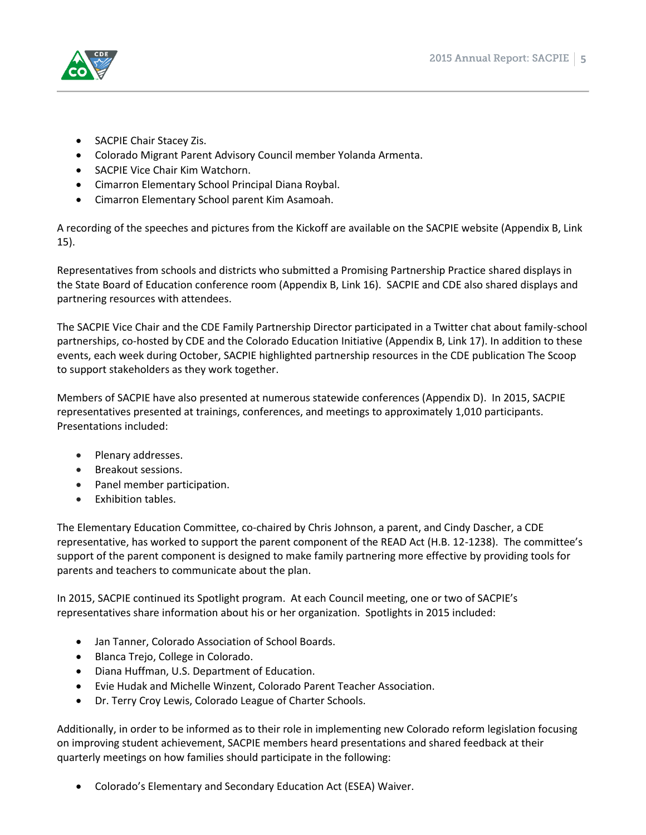

- SACPIE Chair Stacey Zis.
- Colorado Migrant Parent Advisory Council member Yolanda Armenta.
- SACPIE Vice Chair Kim Watchorn.
- Cimarron Elementary School Principal Diana Roybal.
- Cimarron Elementary School parent Kim Asamoah.

A recording of the speeches and pictures from the Kickoff are available on the SACPIE website (Appendix B, Link 15).

Representatives from schools and districts who submitted a Promising Partnership Practice shared displays in the State Board of Education conference room (Appendix B, Link 16). SACPIE and CDE also shared displays and partnering resources with attendees.

The SACPIE Vice Chair and the CDE Family Partnership Director participated in a Twitter chat about family-school partnerships, co-hosted by CDE and the Colorado Education Initiative (Appendix B, Link 17). In addition to these events, each week during October, SACPIE highlighted partnership resources in the CDE publication The Scoop to support stakeholders as they work together.

Members of SACPIE have also presented at numerous statewide conferences (Appendix D). In 2015, SACPIE representatives presented at trainings, conferences, and meetings to approximately 1,010 participants. Presentations included:

- Plenary addresses.
- Breakout sessions.
- Panel member participation.
- Exhibition tables.

The Elementary Education Committee, co-chaired by Chris Johnson, a parent, and Cindy Dascher, a CDE representative, has worked to support the parent component of the READ Act (H.B. 12-1238). The committee's support of the parent component is designed to make family partnering more effective by providing tools for parents and teachers to communicate about the plan.

In 2015, SACPIE continued its Spotlight program. At each Council meeting, one or two of SACPIE's representatives share information about his or her organization. Spotlights in 2015 included:

- Jan Tanner, Colorado Association of School Boards.
- Blanca Trejo, College in Colorado.
- Diana Huffman, U.S. Department of Education.
- Evie Hudak and Michelle Winzent, Colorado Parent Teacher Association.
- Dr. Terry Croy Lewis, Colorado League of Charter Schools.

Additionally, in order to be informed as to their role in implementing new Colorado reform legislation focusing on improving student achievement, SACPIE members heard presentations and shared feedback at their quarterly meetings on how families should participate in the following:

Colorado's Elementary and Secondary Education Act (ESEA) Waiver.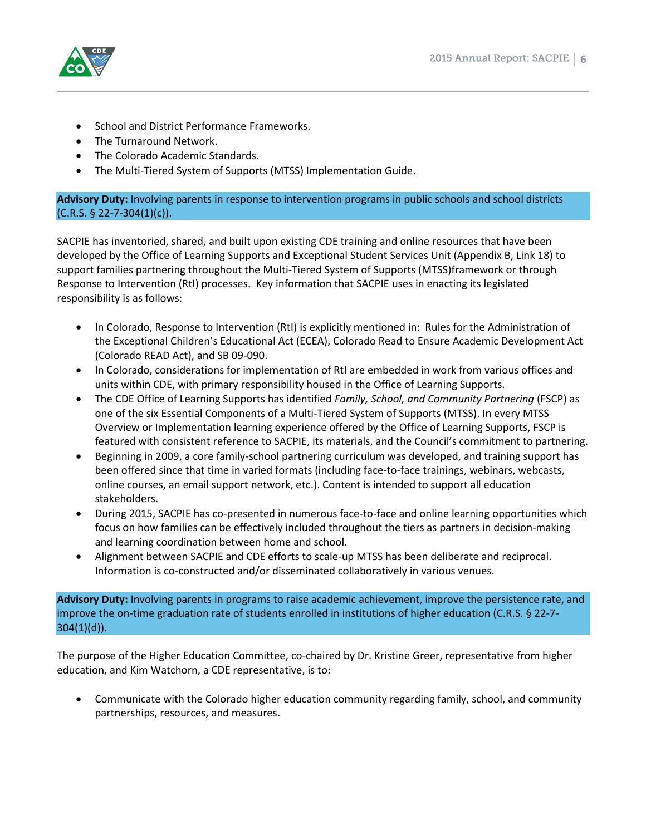

- School and District Performance Frameworks.
- The Turnaround Network.
- The Colorado Academic Standards.
- The Multi-Tiered System of Supports (MTSS) Implementation Guide.

#### **Advisory Duty:** Involving parents in response to intervention programs in public schools and school districts  $(C.R.S. \S 22-7-304(1)(c)).$

SACPIE has inventoried, shared, and built upon existing CDE training and online resources that have been developed by the Office of Learning Supports and Exceptional Student Services Unit (Appendix B, Link 18) to support families partnering throughout the Multi-Tiered System of Supports (MTSS)framework or through Response to Intervention (RtI) processes. Key information that SACPIE uses in enacting its legislated responsibility is as follows:

- In Colorado, Response to Intervention (RtI) is explicitly mentioned in: Rules for the Administration of the Exceptional Children's Educational Act (ECEA), Colorado Read to Ensure Academic Development Act (Colorado READ Act), and SB 09-090.
- In Colorado, considerations for implementation of RtI are embedded in work from various offices and units within CDE, with primary responsibility housed in the Office of Learning Supports.
- The CDE Office of Learning Supports has identified *Family, School, and Community Partnering* (FSCP) as one of the six Essential Components of a Multi-Tiered System of Supports (MTSS). In every MTSS Overview or Implementation learning experience offered by the Office of Learning Supports, FSCP is featured with consistent reference to SACPIE, its materials, and the Council's commitment to partnering.
- Beginning in 2009, a core family-school partnering curriculum was developed, and training support has been offered since that time in varied formats (including face-to-face trainings, webinars, webcasts, online courses, an email support network, etc.). Content is intended to support all education stakeholders.
- During 2015, SACPIE has co-presented in numerous face-to-face and online learning opportunities which focus on how families can be effectively included throughout the tiers as partners in decision-making and learning coordination between home and school.
- Alignment between SACPIE and CDE efforts to scale-up MTSS has been deliberate and reciprocal. Information is co-constructed and/or disseminated collaboratively in various venues.

**Advisory Duty:** Involving parents in programs to raise academic achievement, improve the persistence rate, and improve the on-time graduation rate of students enrolled in institutions of higher education (C.R.S. § 22-7- 304(1)(d)).

The purpose of the Higher Education Committee, co-chaired by Dr. Kristine Greer, representative from higher education, and Kim Watchorn, a CDE representative, is to:

 Communicate with the Colorado higher education community regarding family, school, and community partnerships, resources, and measures.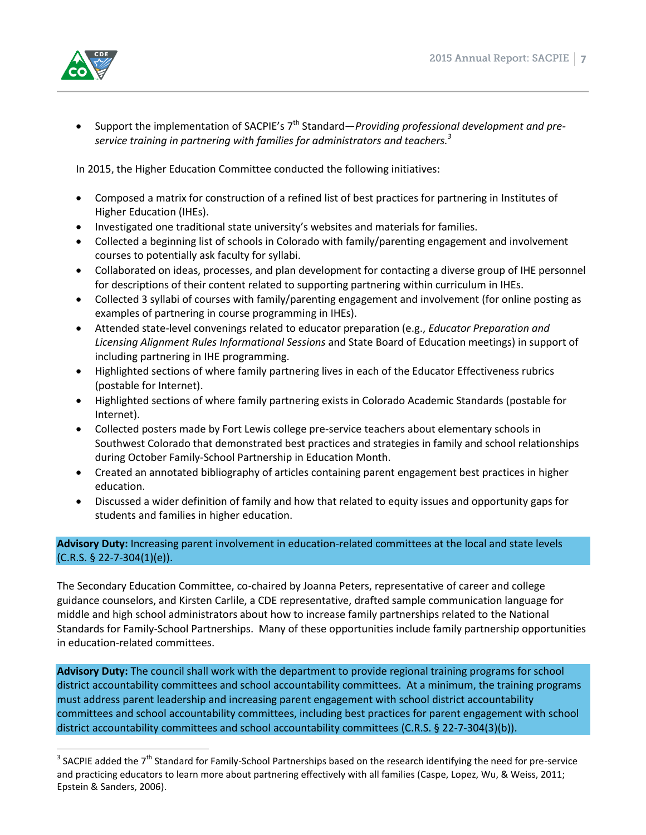

• Support the implementation of SACPIE's 7<sup>th</sup> Standard—*Providing professional development and preservice training in partnering with families for administrators and teachers. 3*

In 2015, the Higher Education Committee conducted the following initiatives:

- Composed a matrix for construction of a refined list of best practices for partnering in Institutes of Higher Education (IHEs).
- Investigated one traditional state university's websites and materials for families.
- Collected a beginning list of schools in Colorado with family/parenting engagement and involvement courses to potentially ask faculty for syllabi.
- Collaborated on ideas, processes, and plan development for contacting a diverse group of IHE personnel for descriptions of their content related to supporting partnering within curriculum in IHEs.
- Collected 3 syllabi of courses with family/parenting engagement and involvement (for online posting as examples of partnering in course programming in IHEs).
- Attended state-level convenings related to educator preparation (e.g., *Educator Preparation and Licensing Alignment Rules Informational Sessions* and State Board of Education meetings) in support of including partnering in IHE programming.
- Highlighted sections of where family partnering lives in each of the Educator Effectiveness rubrics (postable for Internet).
- Highlighted sections of where family partnering exists in Colorado Academic Standards (postable for Internet).
- Collected posters made by Fort Lewis college pre-service teachers about elementary schools in Southwest Colorado that demonstrated best practices and strategies in family and school relationships during October Family-School Partnership in Education Month.
- Created an annotated bibliography of articles containing parent engagement best practices in higher education.
- Discussed a wider definition of family and how that related to equity issues and opportunity gaps for students and families in higher education.

# **Advisory Duty:** Increasing parent involvement in education-related committees at the local and state levels  $(C.R.S. § 22-7-304(1)(e)).$

The Secondary Education Committee, co-chaired by Joanna Peters, representative of career and college guidance counselors, and Kirsten Carlile, a CDE representative, drafted sample communication language for middle and high school administrators about how to increase family partnerships related to the National Standards for Family-School Partnerships. Many of these opportunities include family partnership opportunities in education-related committees.

**Advisory Duty:** The council shall work with the department to provide regional training programs for school district accountability committees and school accountability committees. At a minimum, the training programs must address parent leadership and increasing parent engagement with school district accountability committees and school accountability committees, including best practices for parent engagement with school district accountability committees and school accountability committees (C.R.S. § 22-7-304(3)(b)).

**EXECPIE added the 7<sup>th</sup> Standard for Family-School Partnerships based on the research identifying the need for pre-service** and practicing educators to learn more about partnering effectively with all families (Caspe, Lopez, Wu, & Weiss, 2011; Epstein & Sanders, 2006).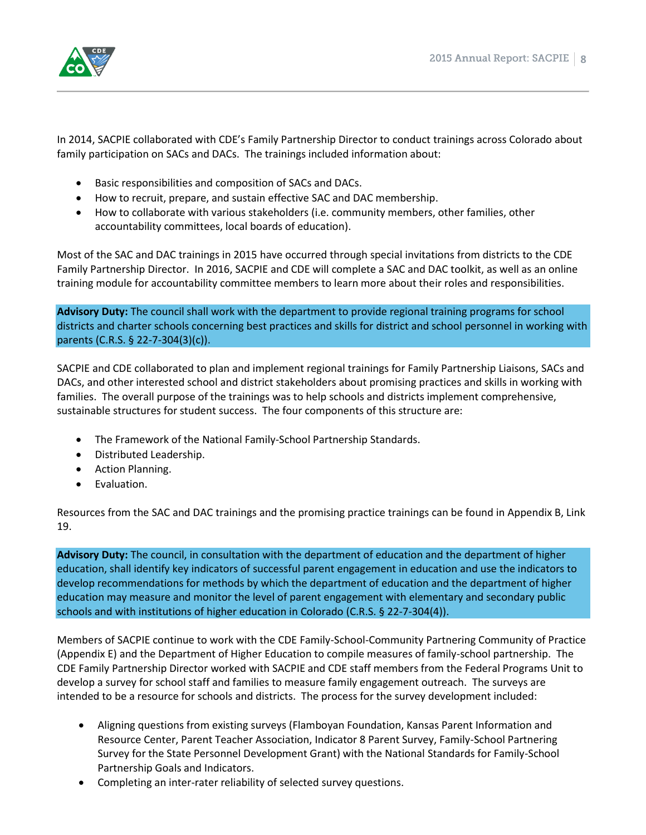

In 2014, SACPIE collaborated with CDE's Family Partnership Director to conduct trainings across Colorado about family participation on SACs and DACs. The trainings included information about:

- Basic responsibilities and composition of SACs and DACs.
- How to recruit, prepare, and sustain effective SAC and DAC membership.
- How to collaborate with various stakeholders (i.e. community members, other families, other accountability committees, local boards of education).

Most of the SAC and DAC trainings in 2015 have occurred through special invitations from districts to the CDE Family Partnership Director. In 2016, SACPIE and CDE will complete a SAC and DAC toolkit, as well as an online training module for accountability committee members to learn more about their roles and responsibilities.

**Advisory Duty:** The council shall work with the department to provide regional training programs for school districts and charter schools concerning best practices and skills for district and school personnel in working with parents (C.R.S. § 22-7-304(3)(c)).

SACPIE and CDE collaborated to plan and implement regional trainings for Family Partnership Liaisons, SACs and DACs, and other interested school and district stakeholders about promising practices and skills in working with families. The overall purpose of the trainings was to help schools and districts implement comprehensive, sustainable structures for student success. The four components of this structure are:

- The Framework of the National Family-School Partnership Standards.
- Distributed Leadership.
- Action Planning.
- **•** Evaluation.

Resources from the SAC and DAC trainings and the promising practice trainings can be found in Appendix B, Link 19.

**Advisory Duty:** The council, in consultation with the department of education and the department of higher education, shall identify key indicators of successful parent engagement in education and use the indicators to develop recommendations for methods by which the department of education and the department of higher education may measure and monitor the level of parent engagement with elementary and secondary public schools and with institutions of higher education in Colorado (C.R.S. § 22-7-304(4)).

Members of SACPIE continue to work with the CDE Family-School-Community Partnering Community of Practice (Appendix E) and the Department of Higher Education to compile measures of family-school partnership. The CDE Family Partnership Director worked with SACPIE and CDE staff members from the Federal Programs Unit to develop a survey for school staff and families to measure family engagement outreach. The surveys are intended to be a resource for schools and districts. The process for the survey development included:

- Aligning questions from existing surveys (Flamboyan Foundation, Kansas Parent Information and Resource Center, Parent Teacher Association, Indicator 8 Parent Survey, Family-School Partnering Survey for the State Personnel Development Grant) with the National Standards for Family-School Partnership Goals and Indicators.
- Completing an inter-rater reliability of selected survey questions.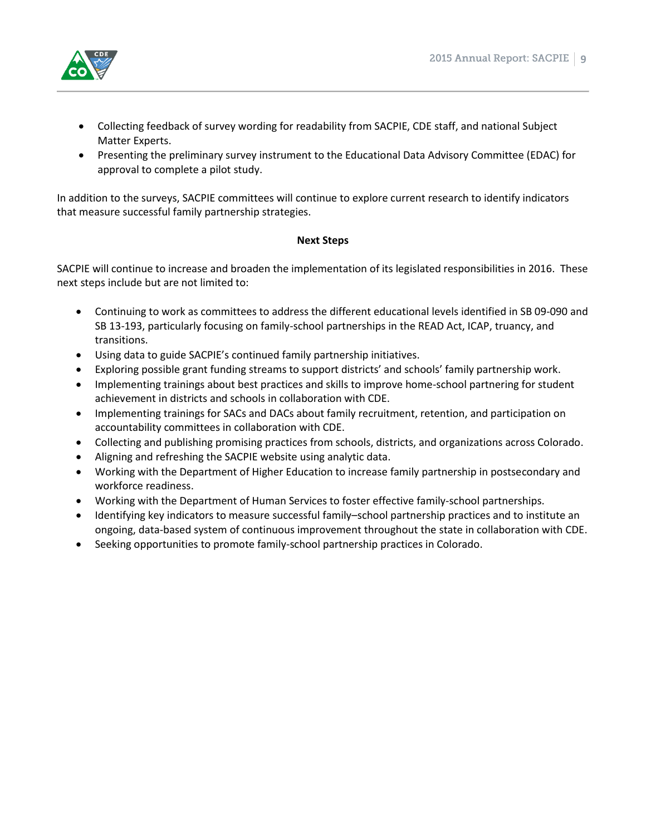

- Collecting feedback of survey wording for readability from SACPIE, CDE staff, and national Subject Matter Experts.
- Presenting the preliminary survey instrument to the Educational Data Advisory Committee (EDAC) for approval to complete a pilot study.

In addition to the surveys, SACPIE committees will continue to explore current research to identify indicators that measure successful family partnership strategies.

#### **Next Steps**

SACPIE will continue to increase and broaden the implementation of its legislated responsibilities in 2016. These next steps include but are not limited to:

- Continuing to work as committees to address the different educational levels identified in SB 09-090 and SB 13-193, particularly focusing on family-school partnerships in the READ Act, ICAP, truancy, and transitions.
- Using data to guide SACPIE's continued family partnership initiatives.
- Exploring possible grant funding streams to support districts' and schools' family partnership work.
- Implementing trainings about best practices and skills to improve home-school partnering for student achievement in districts and schools in collaboration with CDE.
- Implementing trainings for SACs and DACs about family recruitment, retention, and participation on accountability committees in collaboration with CDE.
- Collecting and publishing promising practices from schools, districts, and organizations across Colorado.
- Aligning and refreshing the SACPIE website using analytic data.
- Working with the Department of Higher Education to increase family partnership in postsecondary and workforce readiness.
- Working with the Department of Human Services to foster effective family-school partnerships.
- Identifying key indicators to measure successful family–school partnership practices and to institute an ongoing, data-based system of continuous improvement throughout the state in collaboration with CDE.
- Seeking opportunities to promote family-school partnership practices in Colorado.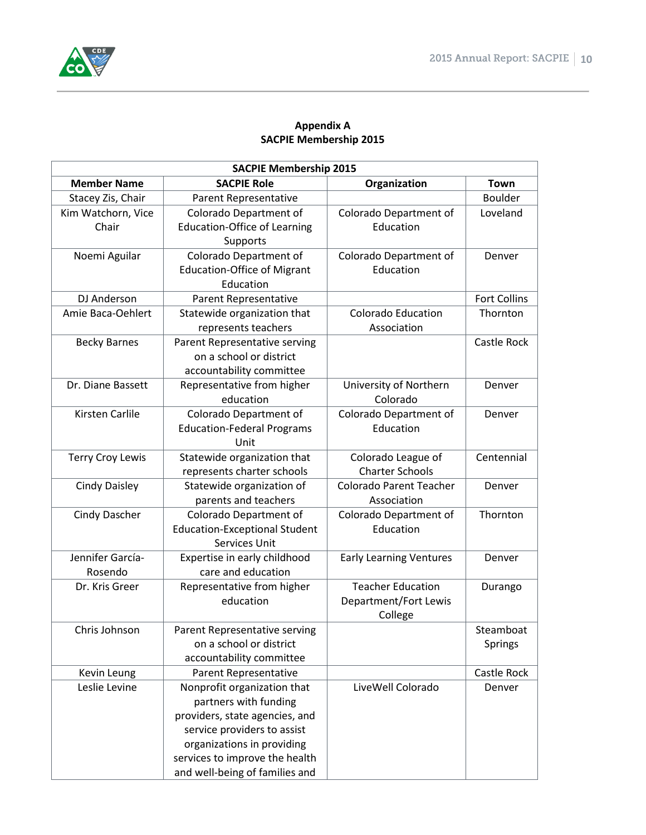

# **Appendix A SACPIE Membership 2015**

| <b>SACPIE Membership 2015</b> |                                      |                                |                     |  |
|-------------------------------|--------------------------------------|--------------------------------|---------------------|--|
| <b>Member Name</b>            | <b>SACPIE Role</b>                   | Organization                   | <b>Town</b>         |  |
| Stacey Zis, Chair             | Parent Representative                |                                | <b>Boulder</b>      |  |
| Kim Watchorn, Vice            | Colorado Department of               | Colorado Department of         | Loveland            |  |
| Chair                         | <b>Education-Office of Learning</b>  | Education                      |                     |  |
|                               | Supports                             |                                |                     |  |
| Noemi Aguilar                 | Colorado Department of               | Colorado Department of         | Denver              |  |
|                               | <b>Education-Office of Migrant</b>   | Education                      |                     |  |
|                               | Education                            |                                |                     |  |
| DJ Anderson                   | Parent Representative                |                                | <b>Fort Collins</b> |  |
| Amie Baca-Oehlert             | Statewide organization that          | <b>Colorado Education</b>      | Thornton            |  |
|                               | represents teachers                  | Association                    |                     |  |
| <b>Becky Barnes</b>           | Parent Representative serving        |                                | Castle Rock         |  |
|                               | on a school or district              |                                |                     |  |
|                               | accountability committee             |                                |                     |  |
| Dr. Diane Bassett             | Representative from higher           | University of Northern         | Denver              |  |
|                               | education                            | Colorado                       |                     |  |
| Kirsten Carlile               | Colorado Department of               | Colorado Department of         | Denver              |  |
|                               | <b>Education-Federal Programs</b>    | Education                      |                     |  |
|                               | Unit                                 |                                |                     |  |
| <b>Terry Croy Lewis</b>       | Statewide organization that          | Colorado League of             | Centennial          |  |
|                               | represents charter schools           | <b>Charter Schools</b>         |                     |  |
| <b>Cindy Daisley</b>          | Statewide organization of            | <b>Colorado Parent Teacher</b> | Denver              |  |
|                               | parents and teachers                 | Association                    |                     |  |
| <b>Cindy Dascher</b>          | Colorado Department of               | Colorado Department of         | Thornton            |  |
|                               | <b>Education-Exceptional Student</b> | Education                      |                     |  |
|                               | Services Unit                        |                                |                     |  |
| Jennifer García-              | Expertise in early childhood         | <b>Early Learning Ventures</b> | Denver              |  |
| Rosendo                       | care and education                   |                                |                     |  |
| Dr. Kris Greer                | Representative from higher           | <b>Teacher Education</b>       | Durango             |  |
|                               | education                            | Department/Fort Lewis          |                     |  |
|                               |                                      | College                        |                     |  |
| Chris Johnson                 | Parent Representative serving        |                                | Steamboat           |  |
|                               | on a school or district              |                                | Springs             |  |
|                               | accountability committee             |                                |                     |  |
| Kevin Leung                   | Parent Representative                |                                | Castle Rock         |  |
| Leslie Levine                 | Nonprofit organization that          | LiveWell Colorado              | Denver              |  |
|                               | partners with funding                |                                |                     |  |
|                               | providers, state agencies, and       |                                |                     |  |
|                               | service providers to assist          |                                |                     |  |
|                               | organizations in providing           |                                |                     |  |
|                               | services to improve the health       |                                |                     |  |
|                               | and well-being of families and       |                                |                     |  |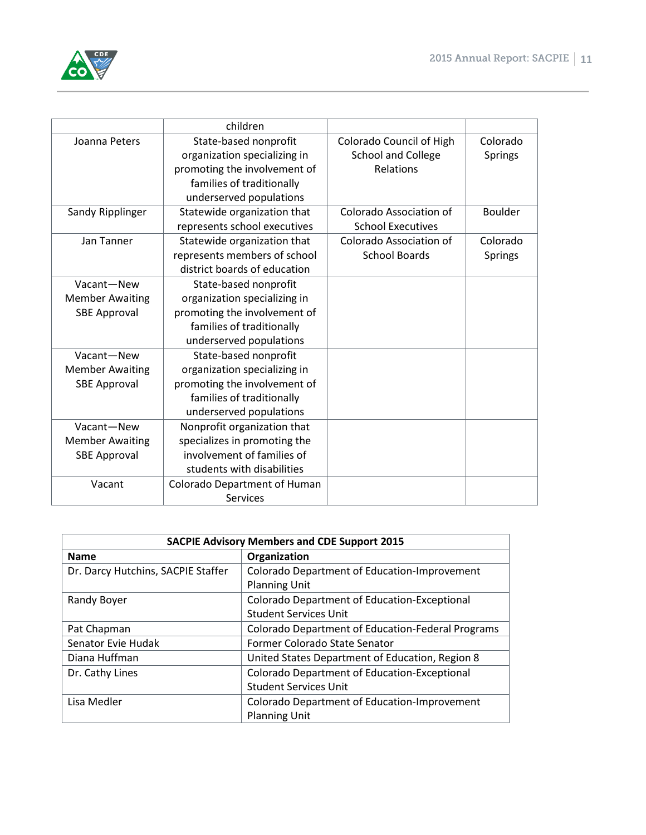

|                        | children                     |                           |                |
|------------------------|------------------------------|---------------------------|----------------|
| Joanna Peters          | State-based nonprofit        | Colorado Council of High  | Colorado       |
|                        | organization specializing in | <b>School and College</b> | <b>Springs</b> |
|                        | promoting the involvement of | Relations                 |                |
|                        | families of traditionally    |                           |                |
|                        | underserved populations      |                           |                |
| Sandy Ripplinger       | Statewide organization that  | Colorado Association of   | <b>Boulder</b> |
|                        | represents school executives | <b>School Executives</b>  |                |
| Jan Tanner             | Statewide organization that  | Colorado Association of   | Colorado       |
|                        | represents members of school | <b>School Boards</b>      | <b>Springs</b> |
|                        | district boards of education |                           |                |
| Vacant-New             | State-based nonprofit        |                           |                |
| <b>Member Awaiting</b> | organization specializing in |                           |                |
| <b>SBE Approval</b>    | promoting the involvement of |                           |                |
|                        | families of traditionally    |                           |                |
|                        | underserved populations      |                           |                |
| Vacant-New             | State-based nonprofit        |                           |                |
| <b>Member Awaiting</b> | organization specializing in |                           |                |
| <b>SBE Approval</b>    | promoting the involvement of |                           |                |
|                        | families of traditionally    |                           |                |
|                        | underserved populations      |                           |                |
| Vacant-New             | Nonprofit organization that  |                           |                |
| <b>Member Awaiting</b> | specializes in promoting the |                           |                |
| <b>SBE Approval</b>    | involvement of families of   |                           |                |
|                        | students with disabilities   |                           |                |
| Vacant                 | Colorado Department of Human |                           |                |
|                        | <b>Services</b>              |                           |                |

| <b>SACPIE Advisory Members and CDE Support 2015</b> |                                                   |  |  |
|-----------------------------------------------------|---------------------------------------------------|--|--|
| <b>Name</b>                                         | Organization                                      |  |  |
| Dr. Darcy Hutchins, SACPIE Staffer                  | Colorado Department of Education-Improvement      |  |  |
|                                                     | <b>Planning Unit</b>                              |  |  |
| Randy Boyer                                         | Colorado Department of Education-Exceptional      |  |  |
|                                                     | <b>Student Services Unit</b>                      |  |  |
| Pat Chapman                                         | Colorado Department of Education-Federal Programs |  |  |
| Senator Evie Hudak                                  | Former Colorado State Senator                     |  |  |
| Diana Huffman                                       | United States Department of Education, Region 8   |  |  |
| Dr. Cathy Lines                                     | Colorado Department of Education-Exceptional      |  |  |
|                                                     | <b>Student Services Unit</b>                      |  |  |
| Lisa Medler                                         | Colorado Department of Education-Improvement      |  |  |
|                                                     | <b>Planning Unit</b>                              |  |  |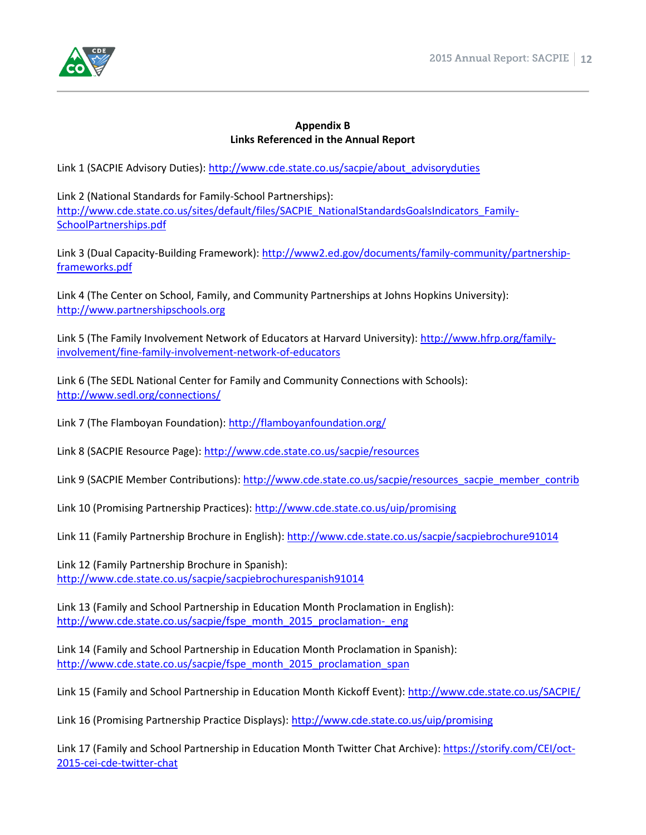

#### **Appendix B Links Referenced in the Annual Report**

Link 1 (SACPIE Advisory Duties): [http://www.cde.state.co.us/sacpie/about\\_advisoryduties](http://www.cde.state.co.us/sacpie/about_advisoryduties)

Link 2 (National Standards for Family-School Partnerships): [http://www.cde.state.co.us/sites/default/files/SACPIE\\_NationalStandardsGoalsIndicators\\_Family-](http://www.cde.state.co.us/sites/default/files/SACPIE_NationalStandardsGoalsIndicators_Family-SchoolPartnerships.pdf)[SchoolPartnerships.pdf](http://www.cde.state.co.us/sites/default/files/SACPIE_NationalStandardsGoalsIndicators_Family-SchoolPartnerships.pdf)

Link 3 (Dual Capacity-Building Framework): [http://www2.ed.gov/documents/family-community/partnership](http://www2.ed.gov/documents/family-community/partnership-frameworks.pdf)[frameworks.pdf](http://www2.ed.gov/documents/family-community/partnership-frameworks.pdf)

Link 4 (The Center on School, Family, and Community Partnerships at Johns Hopkins University): [http://www.partnershipschools.org](http://www.partnershipschools.org/)

Link 5 (The Family Involvement Network of Educators at Harvard University)[: http://www.hfrp.org/family](http://www.hfrp.org/family-involvement/fine-family-involvement-network-of-educators)[involvement/fine-family-involvement-network-of-educators](http://www.hfrp.org/family-involvement/fine-family-involvement-network-of-educators)

Link 6 (The SEDL National Center for Family and Community Connections with Schools): <http://www.sedl.org/connections/>

Link 7 (The Flamboyan Foundation)[: http://flamboyanfoundation.org/](http://flamboyanfoundation.org/)

Link 8 (SACPIE Resource Page)[: http://www.cde.state.co.us/sacpie/resources](http://www.cde.state.co.us/sacpie/resources)

Link 9 (SACPIE Member Contributions)[: http://www.cde.state.co.us/sacpie/resources\\_sacpie\\_member\\_contrib](http://www.cde.state.co.us/sacpie/resources_sacpie_member_contrib)

Link 10 (Promising Partnership Practices)[: http://www.cde.state.co.us/uip/promising](http://www.cde.state.co.us/uip/promising)

Link 11 (Family Partnership Brochure in English):<http://www.cde.state.co.us/sacpie/sacpiebrochure91014>

Link 12 (Family Partnership Brochure in Spanish): <http://www.cde.state.co.us/sacpie/sacpiebrochurespanish91014>

Link 13 (Family and School Partnership in Education Month Proclamation in English): [http://www.cde.state.co.us/sacpie/fspe\\_month\\_2015\\_proclamation-\\_eng](http://www.cde.state.co.us/sacpie/fspe_month_2015_proclamation-_eng)

Link 14 (Family and School Partnership in Education Month Proclamation in Spanish): [http://www.cde.state.co.us/sacpie/fspe\\_month\\_2015\\_proclamation\\_span](http://www.cde.state.co.us/sacpie/fspe_month_2015_proclamation_span)

Link 15 (Family and School Partnership in Education Month Kickoff Event)[: http://www.cde.state.co.us/SACPIE/](http://www.cde.state.co.us/SACPIE/)

Link 16 (Promising Partnership Practice Displays): <http://www.cde.state.co.us/uip/promising>

Link 17 (Family and School Partnership in Education Month Twitter Chat Archive): [https://storify.com/CEI/oct-](https://storify.com/CEI/oct-2015-cei-cde-twitter-chat)[2015-cei-cde-twitter-chat](https://storify.com/CEI/oct-2015-cei-cde-twitter-chat)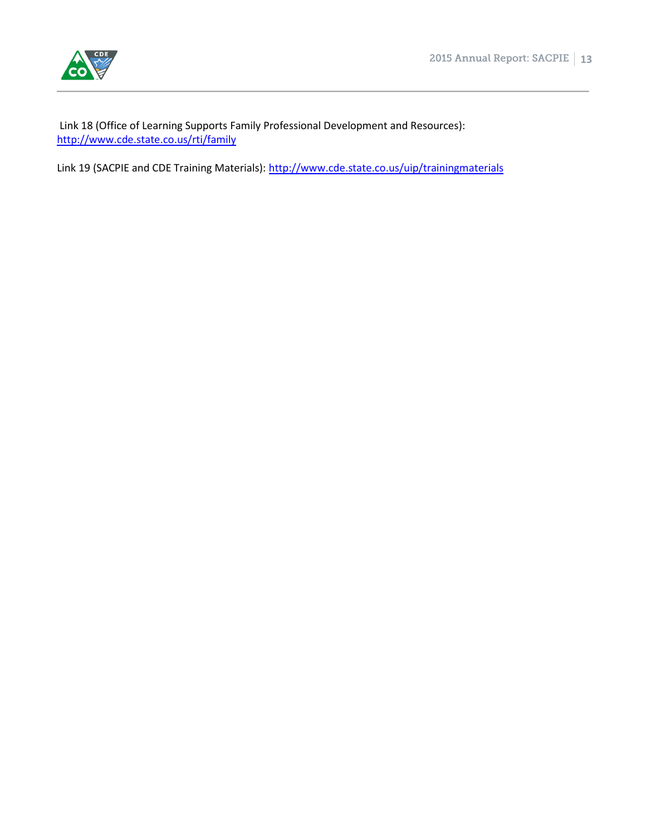

Link 18 (Office of Learning Supports Family Professional Development and Resources): <http://www.cde.state.co.us/rti/family>

Link 19 (SACPIE and CDE Training Materials)[: http://www.cde.state.co.us/uip/trainingmaterials](http://www.cde.state.co.us/uip/trainingmaterials)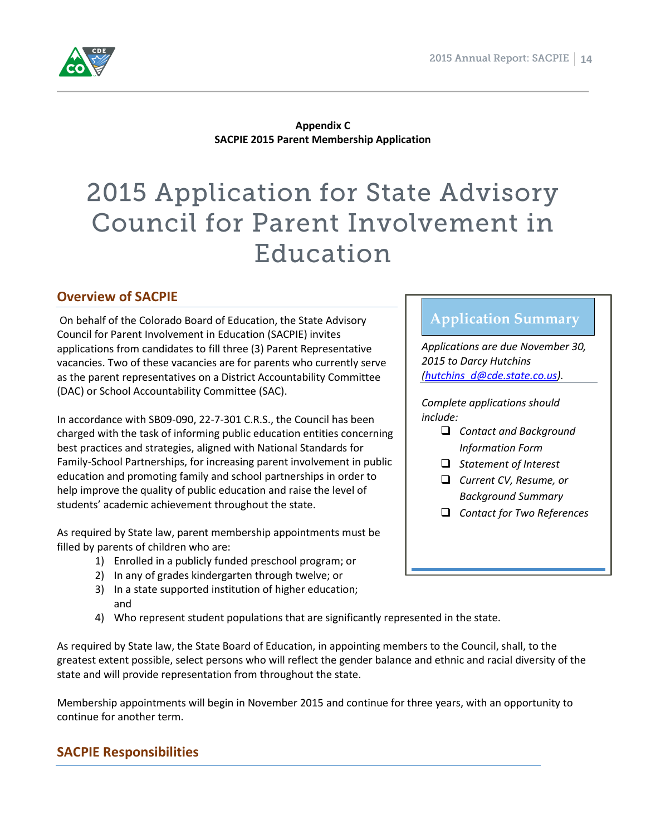

**Appendix C SACPIE 2015 Parent Membership Application**

# 2015 Application for State Advisory Council for Parent Involvement in Education

# **Overview of SACPIE**

On behalf of the Colorado Board of Education, the State Advisory Council for Parent Involvement in Education (SACPIE) invites applications from candidates to fill three (3) Parent Representative vacancies. Two of these vacancies are for parents who currently serve as the parent representatives on a District Accountability Committee (DAC) or School Accountability Committee (SAC).

In accordance with SB09-090, 22-7-301 C.R.S., the Council has been charged with the task of informing public education entities concerning best practices and strategies, aligned with National Standards for Family-School Partnerships, for increasing parent involvement in public education and promoting family and school partnerships in order to help improve the quality of public education and raise the level of students' academic achievement throughout the state.

As required by State law, parent membership appointments must be filled by parents of children who are:

- 1) Enrolled in a publicly funded preschool program; or
- 2) In any of grades kindergarten through twelve; or
- 3) In a state supported institution of higher education; and
- 4) Who represent student populations that are significantly represented in the state.

As required by State law, the State Board of Education, in appointing members to the Council, shall, to the greatest extent possible, select persons who will reflect the gender balance and ethnic and racial diversity of the state and will provide representation from throughout the state.

Membership appointments will begin in November 2015 and continue for three years, with an opportunity to continue for another term.

# **SACPIE Responsibilities**

# **Application Summary**

*Applications are due November 30, 2015 to Darcy Hutchins [\(hutchins\\_d@cde.state.co.us\)](mailto:hutchins_d@cde.state.co.us).*

*Complete applications should include:*

- *Contact and Background Information Form*
- *Statement of Interest*
- *Current CV, Resume, or Background Summary*
- *Contact for Two References*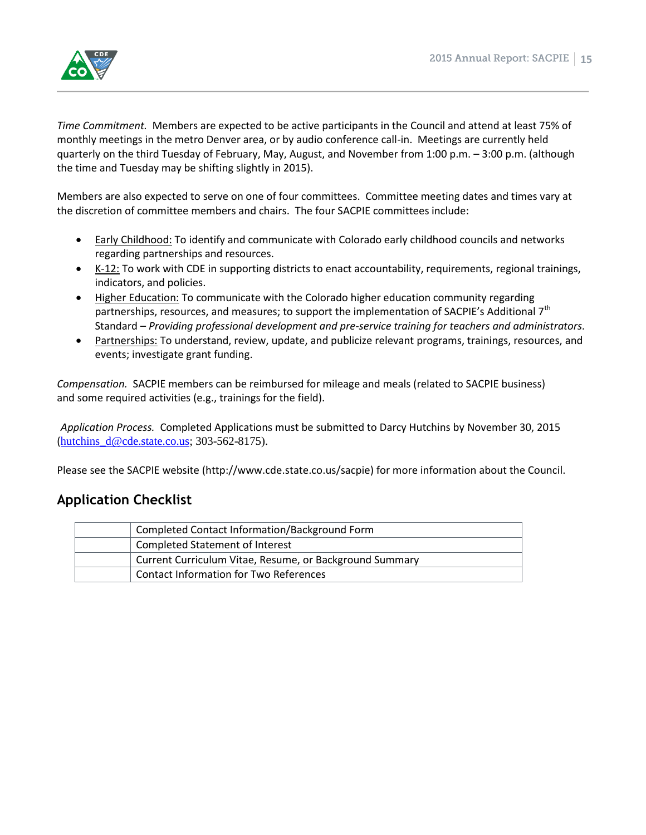

*Time Commitment.* Members are expected to be active participants in the Council and attend at least 75% of monthly meetings in the metro Denver area, or by audio conference call-in. Meetings are currently held quarterly on the third Tuesday of February, May, August, and November from 1:00 p.m. – 3:00 p.m. (although the time and Tuesday may be shifting slightly in 2015).

Members are also expected to serve on one of four committees. Committee meeting dates and times vary at the discretion of committee members and chairs. The four SACPIE committees include:

- Early Childhood: To identify and communicate with Colorado early childhood councils and networks regarding partnerships and resources.
- K-12: To work with CDE in supporting districts to enact accountability, requirements, regional trainings, indicators, and policies.
- Higher Education: To communicate with the Colorado higher education community regarding partnerships, resources, and measures; to support the implementation of SACPIE's Additional 7<sup>th</sup> Standard – *Providing professional development and pre-service training for teachers and administrators.*
- Partnerships: To understand, review, update, and publicize relevant programs, trainings, resources, and events; investigate grant funding.

*Compensation.* SACPIE members can be reimbursed for mileage and meals (related to SACPIE business) and some required activities (e.g., trainings for the field).

*Application Process.* Completed Applications must be submitted to Darcy Hutchins by November 30, 2015 (hutchins  $d@cde. state.co.us; 303-562-8175$ ).

Please see the SACPIE website (http://www.cde.state.co.us/sacpie) for more information about the Council.

# **Application Checklist**

| Completed Contact Information/Background Form           |
|---------------------------------------------------------|
| Completed Statement of Interest                         |
| Current Curriculum Vitae, Resume, or Background Summary |
| <b>Contact Information for Two References</b>           |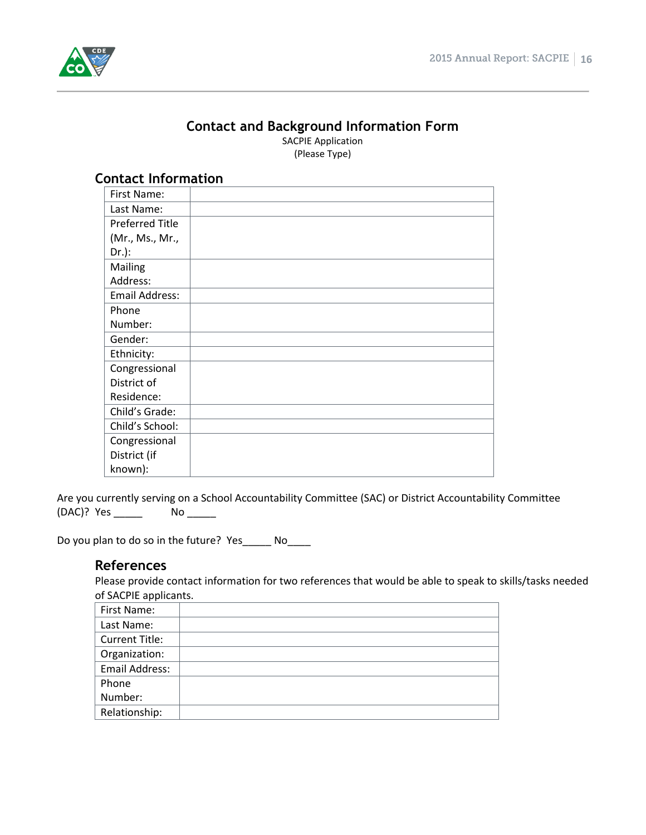

# **Contact and Background Information Form**

SACPIE Application (Please Type)

| ווכשכנ ווווטו וושנוטוו |  |
|------------------------|--|
| First Name:            |  |
| Last Name:             |  |
| <b>Preferred Title</b> |  |
| (Mr., Ms., Mr.,        |  |
| $Dr.$ ):               |  |
| Mailing                |  |
| Address:               |  |
| <b>Email Address:</b>  |  |
| Phone                  |  |
| Number:                |  |
| Gender:                |  |
| Ethnicity:             |  |
| Congressional          |  |
| District of            |  |
| Residence:             |  |
| Child's Grade:         |  |
| Child's School:        |  |
| Congressional          |  |
| District (if           |  |
| known):                |  |
|                        |  |

# **Contact Information**

Are you currently serving on a School Accountability Committee (SAC) or District Accountability Committee (DAC)? Yes \_\_\_\_\_ No \_\_\_\_\_

Do you plan to do so in the future? Yes\_\_\_\_\_ No\_\_\_\_

# **References**

Please provide contact information for two references that would be able to speak to skills/tasks needed of SACPIE applicants.

| First Name:           |  |
|-----------------------|--|
| Last Name:            |  |
| <b>Current Title:</b> |  |
| Organization:         |  |
| Email Address:        |  |
| Phone                 |  |
| Number:               |  |
| Relationship:         |  |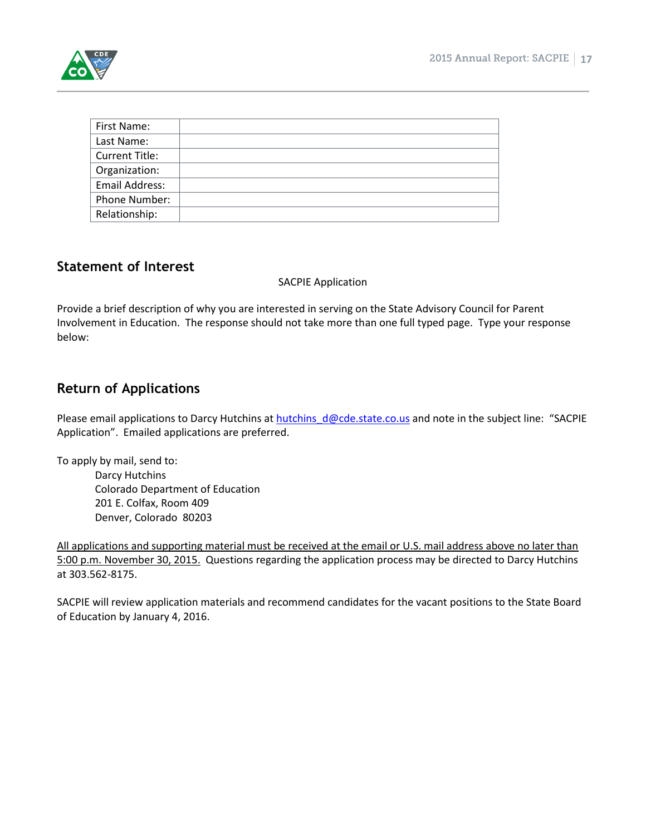

| First Name:           |  |
|-----------------------|--|
| Last Name:            |  |
| <b>Current Title:</b> |  |
| Organization:         |  |
| <b>Email Address:</b> |  |
| Phone Number:         |  |
| Relationship:         |  |

# **Statement of Interest**

#### SACPIE Application

Provide a brief description of why you are interested in serving on the State Advisory Council for Parent Involvement in Education. The response should not take more than one full typed page. Type your response below:

# **Return of Applications**

Please email applications to Darcy Hutchins at hutchins  $d@cde. state.co.us$  and note in the subject line: "SACPIE Application". Emailed applications are preferred.

To apply by mail, send to:

Darcy Hutchins Colorado Department of Education 201 E. Colfax, Room 409 Denver, Colorado 80203

All applications and supporting material must be received at the email or U.S. mail address above no later than 5:00 p.m. November 30, 2015. Questions regarding the application process may be directed to Darcy Hutchins at 303.562-8175.

SACPIE will review application materials and recommend candidates for the vacant positions to the State Board of Education by January 4, 2016.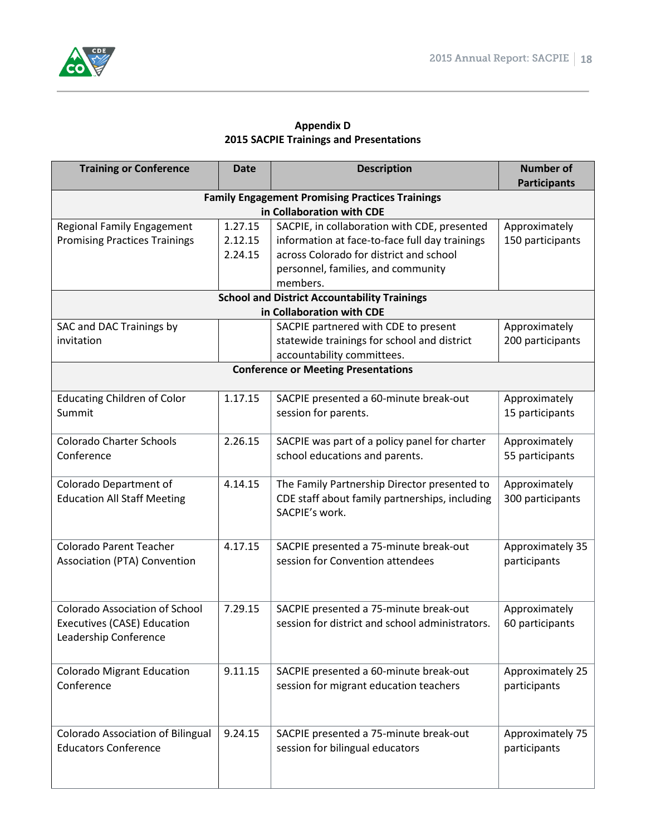

#### **Appendix D 2015 SACPIE Trainings and Presentations**

| <b>Training or Conference</b>         | <b>Date</b> | <b>Description</b>                                                                  | <b>Number of</b><br><b>Participants</b> |
|---------------------------------------|-------------|-------------------------------------------------------------------------------------|-----------------------------------------|
|                                       |             | <b>Family Engagement Promising Practices Trainings</b>                              |                                         |
|                                       |             | in Collaboration with CDE                                                           |                                         |
| <b>Regional Family Engagement</b>     | 1.27.15     | SACPIE, in collaboration with CDE, presented                                        | Approximately                           |
| <b>Promising Practices Trainings</b>  | 2.12.15     | information at face-to-face full day trainings                                      | 150 participants                        |
|                                       | 2.24.15     | across Colorado for district and school                                             |                                         |
|                                       |             | personnel, families, and community                                                  |                                         |
|                                       |             | members.                                                                            |                                         |
|                                       |             | <b>School and District Accountability Trainings</b><br>in Collaboration with CDE    |                                         |
| SAC and DAC Trainings by              |             |                                                                                     | Approximately                           |
| invitation                            |             | SACPIE partnered with CDE to present<br>statewide trainings for school and district | 200 participants                        |
|                                       |             | accountability committees.                                                          |                                         |
|                                       |             | <b>Conference or Meeting Presentations</b>                                          |                                         |
|                                       |             |                                                                                     |                                         |
| <b>Educating Children of Color</b>    | 1.17.15     | SACPIE presented a 60-minute break-out                                              | Approximately                           |
| Summit                                |             | session for parents.                                                                | 15 participants                         |
|                                       |             |                                                                                     |                                         |
| <b>Colorado Charter Schools</b>       | 2.26.15     | SACPIE was part of a policy panel for charter                                       | Approximately                           |
| Conference                            |             | school educations and parents.                                                      | 55 participants                         |
|                                       |             |                                                                                     |                                         |
| Colorado Department of                | 4.14.15     | The Family Partnership Director presented to                                        | Approximately                           |
| <b>Education All Staff Meeting</b>    |             | CDE staff about family partnerships, including<br>SACPIE's work.                    | 300 participants                        |
|                                       |             |                                                                                     |                                         |
|                                       |             |                                                                                     |                                         |
| <b>Colorado Parent Teacher</b>        | 4.17.15     | SACPIE presented a 75-minute break-out                                              | Approximately 35                        |
| Association (PTA) Convention          |             | session for Convention attendees                                                    | participants                            |
|                                       |             |                                                                                     |                                         |
|                                       |             |                                                                                     |                                         |
| <b>Colorado Association of School</b> | 7.29.15     | SACPIE presented a 75-minute break-out                                              | Approximately                           |
| Executives (CASE) Education           |             | session for district and school administrators.                                     | 60 participants                         |
| Leadership Conference                 |             |                                                                                     |                                         |
|                                       |             |                                                                                     |                                         |
| <b>Colorado Migrant Education</b>     | 9.11.15     | SACPIE presented a 60-minute break-out                                              | Approximately 25                        |
| Conference                            |             | session for migrant education teachers                                              | participants                            |
|                                       |             |                                                                                     |                                         |
|                                       |             |                                                                                     |                                         |
| Colorado Association of Bilingual     | 9.24.15     | SACPIE presented a 75-minute break-out                                              | Approximately 75                        |
| <b>Educators Conference</b>           |             | session for bilingual educators                                                     | participants                            |
|                                       |             |                                                                                     |                                         |
|                                       |             |                                                                                     |                                         |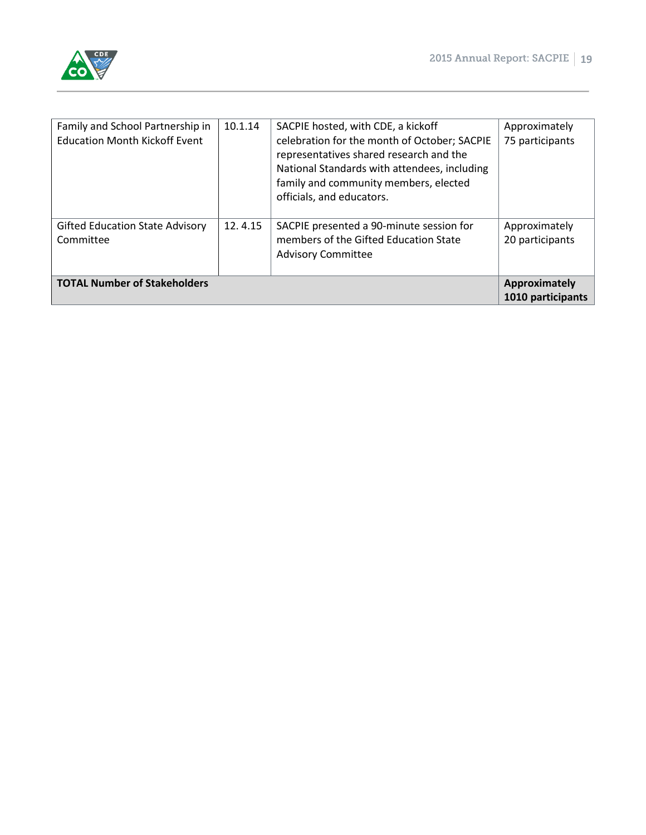

| <b>TOTAL Number of Stakeholders</b>                                      |         |                                                                                                                                                                                                                                                     | <b>Approximately</b><br>1010 participants |
|--------------------------------------------------------------------------|---------|-----------------------------------------------------------------------------------------------------------------------------------------------------------------------------------------------------------------------------------------------------|-------------------------------------------|
| <b>Gifted Education State Advisory</b><br>Committee                      | 12.4.15 | SACPIE presented a 90-minute session for<br>members of the Gifted Education State<br><b>Advisory Committee</b>                                                                                                                                      | Approximately<br>20 participants          |
| Family and School Partnership in<br><b>Education Month Kickoff Event</b> | 10.1.14 | SACPIE hosted, with CDE, a kickoff<br>celebration for the month of October; SACPIE<br>representatives shared research and the<br>National Standards with attendees, including<br>family and community members, elected<br>officials, and educators. | Approximately<br>75 participants          |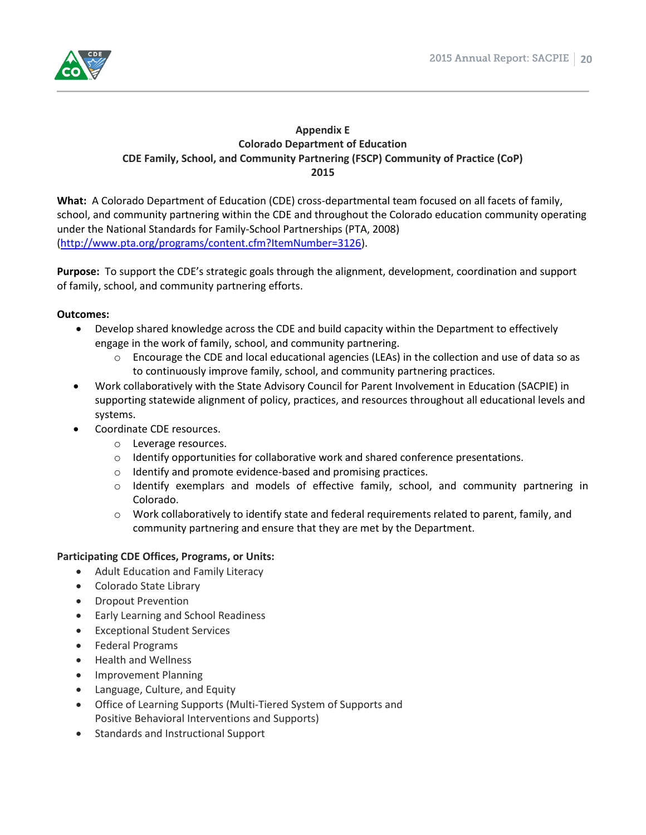

#### **Appendix E Colorado Department of Education CDE Family, School, and Community Partnering (FSCP) Community of Practice (CoP) 2015**

**What:** A Colorado Department of Education (CDE) cross-departmental team focused on all facets of family, school, and community partnering within the CDE and throughout the Colorado education community operating under the National Standards for Family-School Partnerships (PTA, 2008) [\(http://www.pta.org/programs/content.cfm?ItemNumber=3126\)](http://www.pta.org/programs/content.cfm?ItemNumber=3126).

**Purpose:** To support the CDE's strategic goals through the alignment, development, coordination and support of family, school, and community partnering efforts.

#### **Outcomes:**

- Develop shared knowledge across the CDE and build capacity within the Department to effectively engage in the work of family, school, and community partnering.
	- $\circ$  Encourage the CDE and local educational agencies (LEAs) in the collection and use of data so as to continuously improve family, school, and community partnering practices.
- Work collaboratively with the State Advisory Council for Parent Involvement in Education (SACPIE) in supporting statewide alignment of policy, practices, and resources throughout all educational levels and systems.
- Coordinate CDE resources.
	- o Leverage resources.
	- $\circ$  Identify opportunities for collaborative work and shared conference presentations.
	- o Identify and promote evidence-based and promising practices.
	- o Identify exemplars and models of effective family, school, and community partnering in Colorado.
	- $\circ$  Work collaboratively to identify state and federal requirements related to parent, family, and community partnering and ensure that they are met by the Department.

# **Participating CDE Offices, Programs, or Units:**

- Adult Education and Family Literacy
- Colorado State Library
- Dropout Prevention
- Early Learning and School Readiness
- Exceptional Student Services
- Federal Programs
- Health and Wellness
- Improvement Planning
- Language, Culture, and Equity
- Office of Learning Supports (Multi-Tiered System of Supports and Positive Behavioral Interventions and Supports)
- Standards and Instructional Support